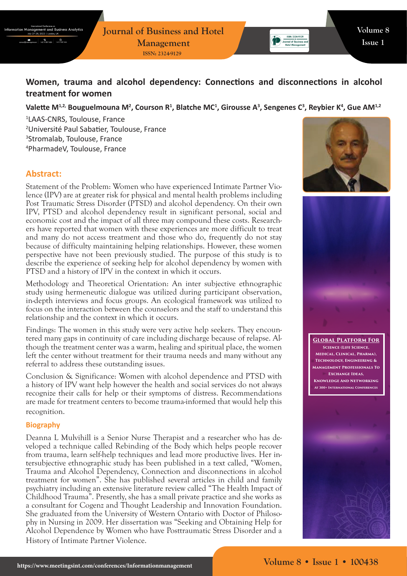**Journal of Business and Hotel Management ISSN: 2324-9129**

# **Women, trauma and alcohol dependency: Connections and disconnections in alcohol treatment for women**

### Valette M<sup>1,2,</sup> Bouguelmouna M<sup>2</sup>, Courson R<sup>1</sup>, Blatche MC<sup>1</sup>, Girousse A<sup>3</sup>, Sengenes C<sup>3</sup>, Reybier K<sup>4</sup>, Gue AM<sup>1,2</sup>

 LAAS-CNRS, Toulouse, France Université Paul Sabatier, Toulouse, France Stromalab, Toulouse, France PharmadeV, Toulouse, France

## **Abstract:**

Statement of the Problem: Women who have experienced Intimate Partner Violence (IPV) are at greater risk for physical and mental health problems including Post Traumatic Stress Disorder (PTSD) and alcohol dependency. On their own IPV, PTSD and alcohol dependency result in significant personal, social and economic cost and the impact of all three may compound these costs. Researchers have reported that women with these experiences are more difficult to treat and many do not access treatment and those who do, frequently do not stay because of difficulty maintaining helping relationships. However, these women perspective have not been previously studied. The purpose of this study is to describe the experience of seeking help for alcohol dependency by women with PTSD and a history of IPV in the context in which it occurs.

Methodology and Theoretical Orientation: An inter subjective ethnographic study using hermeneutic dialogue was utilized during participant observation, in-depth interviews and focus groups. An ecological framework was utilized to focus on the interaction between the counselors and the staff to understand this relationship and the context in which it occurs.

Findings: The women in this study were very active help seekers. They encountered many gaps in continuity of care including discharge because of relapse. Although the treatment center was a warm, healing and spiritual place, the women left the center without treatment for their trauma needs and many without any referral to address these outstanding issues.

Conclusion & Significance: Women with alcohol dependence and PTSD with a history of IPV want help however the health and social services do not always recognize their calls for help or their symptoms of distress. Recommendations are made for treatment centers to become trauma-informed that would help this recognition.

#### **Biography**

Deanna L Mulvihill is a Senior Nurse Therapist and a researcher who has developed a technique called Rebinding of the Body which helps people recover from trauma, learn self-help techniques and lead more productive lives. Her intersubjective ethnographic study has been published in a text called, "Women, Trauma and Alcohol Dependency, Connection and disconnections in alcohol treatment for women". She has published several articles in child and family psychiatry including an extensive literature review called "The Health Impact of Childhood Trauma". Presently, she has a small private practice and she works as a consultant for Cogenz and Thought Leadership and Innovation Foundation. She graduated from the University of Western Ontario with Doctor of Philosophy in Nursing in 2009. Her dissertation was "Seeking and Obtaining Help for Alcohol Dependence by Women who have Posttraumatic Stress Disorder and a History of Intimate Partner Violence.



Journal of Business an



**Global Platform For Science (Life Science, Medical, Clinical, Pharma), Technology, Engineering & Management Professionals To Exchange Ideas, Knowledge And Networking At 300+ International Conferences**